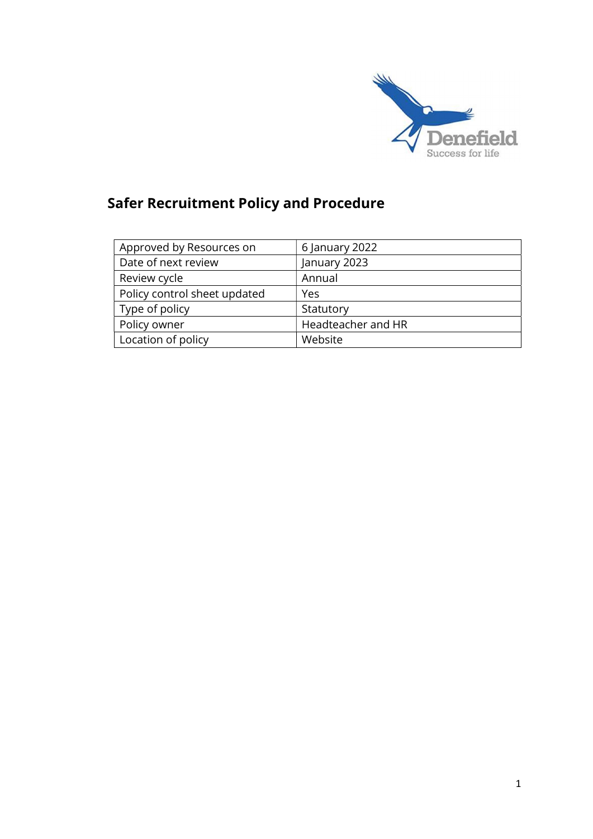

# Safer Recruitment Policy and Procedure

| Approved by Resources on     | 6 January 2022     |
|------------------------------|--------------------|
| Date of next review          | January 2023       |
| Review cycle                 | Annual             |
| Policy control sheet updated | Yes                |
| Type of policy               | Statutory          |
| Policy owner                 | Headteacher and HR |
| Location of policy           | Website            |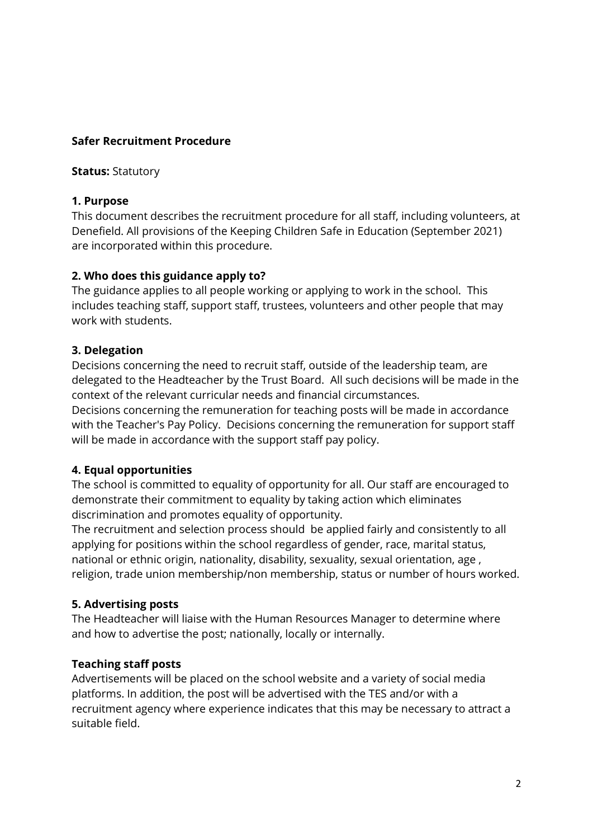#### Safer Recruitment Procedure

#### **Status: Statutory**

#### 1. Purpose

This document describes the recruitment procedure for all staff, including volunteers, at Denefield. All provisions of the Keeping Children Safe in Education (September 2021) are incorporated within this procedure.

#### 2. Who does this guidance apply to?

The guidance applies to all people working or applying to work in the school. This includes teaching staff, support staff, trustees, volunteers and other people that may work with students.

#### 3. Delegation

Decisions concerning the need to recruit staff, outside of the leadership team, are delegated to the Headteacher by the Trust Board. All such decisions will be made in the context of the relevant curricular needs and financial circumstances.

Decisions concerning the remuneration for teaching posts will be made in accordance with the Teacher's Pay Policy. Decisions concerning the remuneration for support staff will be made in accordance with the support staff pay policy.

# 4. Equal opportunities

The school is committed to equality of opportunity for all. Our staff are encouraged to demonstrate their commitment to equality by taking action which eliminates discrimination and promotes equality of opportunity.

The recruitment and selection process should be applied fairly and consistently to all applying for positions within the school regardless of gender, race, marital status, national or ethnic origin, nationality, disability, sexuality, sexual orientation, age , religion, trade union membership/non membership, status or number of hours worked.

#### 5. Advertising posts

The Headteacher will liaise with the Human Resources Manager to determine where and how to advertise the post; nationally, locally or internally.

#### Teaching staff posts

Advertisements will be placed on the school website and a variety of social media platforms. In addition, the post will be advertised with the TES and/or with a recruitment agency where experience indicates that this may be necessary to attract a suitable field.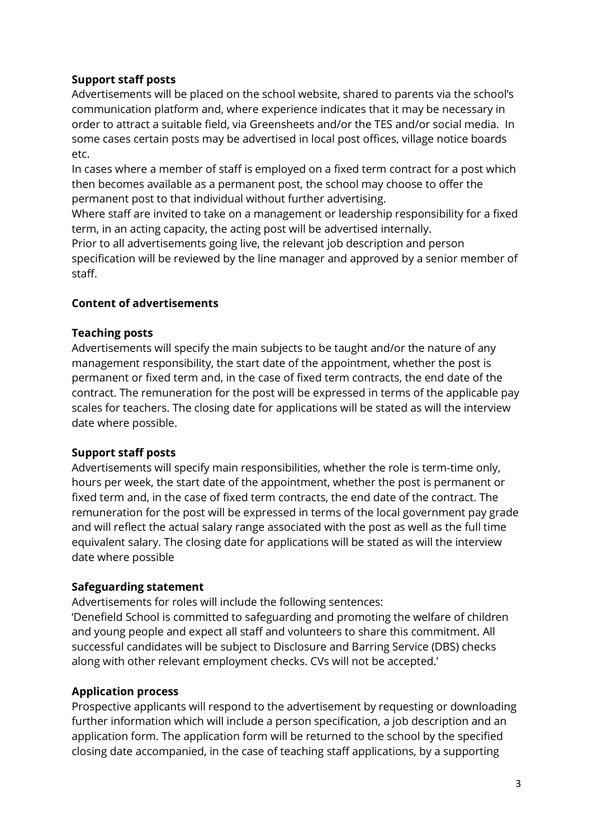# Support staff posts

Advertisements will be placed on the school website, shared to parents via the school's communication platform and, where experience indicates that it may be necessary in order to attract a suitable field, via Greensheets and/or the TES and/or social media. In some cases certain posts may be advertised in local post offices, village notice boards etc.

In cases where a member of staff is employed on a fixed term contract for a post which then becomes available as a permanent post, the school may choose to offer the permanent post to that individual without further advertising.

Where staff are invited to take on a management or leadership responsibility for a fixed term, in an acting capacity, the acting post will be advertised internally.

Prior to all advertisements going live, the relevant job description and person specification will be reviewed by the line manager and approved by a senior member of staff.

# Content of advertisements

#### Teaching posts

Advertisements will specify the main subjects to be taught and/or the nature of any management responsibility, the start date of the appointment, whether the post is permanent or fixed term and, in the case of fixed term contracts, the end date of the contract. The remuneration for the post will be expressed in terms of the applicable pay scales for teachers. The closing date for applications will be stated as will the interview date where possible.

# Support staff posts

Advertisements will specify main responsibilities, whether the role is term-time only, hours per week, the start date of the appointment, whether the post is permanent or fixed term and, in the case of fixed term contracts, the end date of the contract. The remuneration for the post will be expressed in terms of the local government pay grade and will reflect the actual salary range associated with the post as well as the full time equivalent salary. The closing date for applications will be stated as will the interview date where possible

#### Safeguarding statement

Advertisements for roles will include the following sentences:

'Denefield School is committed to safeguarding and promoting the welfare of children and young people and expect all staff and volunteers to share this commitment. All successful candidates will be subject to Disclosure and Barring Service (DBS) checks along with other relevant employment checks. CVs will not be accepted.'

# Application process

Prospective applicants will respond to the advertisement by requesting or downloading further information which will include a person specification, a job description and an application form. The application form will be returned to the school by the specified closing date accompanied, in the case of teaching staff applications, by a supporting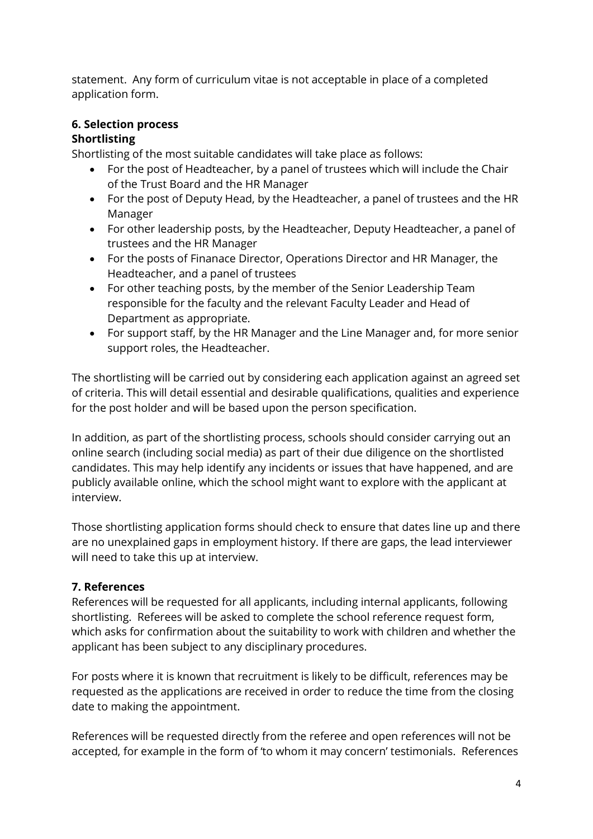statement. Any form of curriculum vitae is not acceptable in place of a completed application form.

# 6. Selection process

# Shortlisting

Shortlisting of the most suitable candidates will take place as follows:

- For the post of Headteacher, by a panel of trustees which will include the Chair of the Trust Board and the HR Manager
- For the post of Deputy Head, by the Headteacher, a panel of trustees and the HR Manager
- For other leadership posts, by the Headteacher, Deputy Headteacher, a panel of trustees and the HR Manager
- For the posts of Finanace Director, Operations Director and HR Manager, the Headteacher, and a panel of trustees
- For other teaching posts, by the member of the Senior Leadership Team responsible for the faculty and the relevant Faculty Leader and Head of Department as appropriate.
- For support staff, by the HR Manager and the Line Manager and, for more senior support roles, the Headteacher.

The shortlisting will be carried out by considering each application against an agreed set of criteria. This will detail essential and desirable qualifications, qualities and experience for the post holder and will be based upon the person specification.

In addition, as part of the shortlisting process, schools should consider carrying out an online search (including social media) as part of their due diligence on the shortlisted candidates. This may help identify any incidents or issues that have happened, and are publicly available online, which the school might want to explore with the applicant at interview.

Those shortlisting application forms should check to ensure that dates line up and there are no unexplained gaps in employment history. If there are gaps, the lead interviewer will need to take this up at interview.

# 7. References

References will be requested for all applicants, including internal applicants, following shortlisting. Referees will be asked to complete the school reference request form, which asks for confirmation about the suitability to work with children and whether the applicant has been subject to any disciplinary procedures.

For posts where it is known that recruitment is likely to be difficult, references may be requested as the applications are received in order to reduce the time from the closing date to making the appointment.

References will be requested directly from the referee and open references will not be accepted, for example in the form of 'to whom it may concern' testimonials. References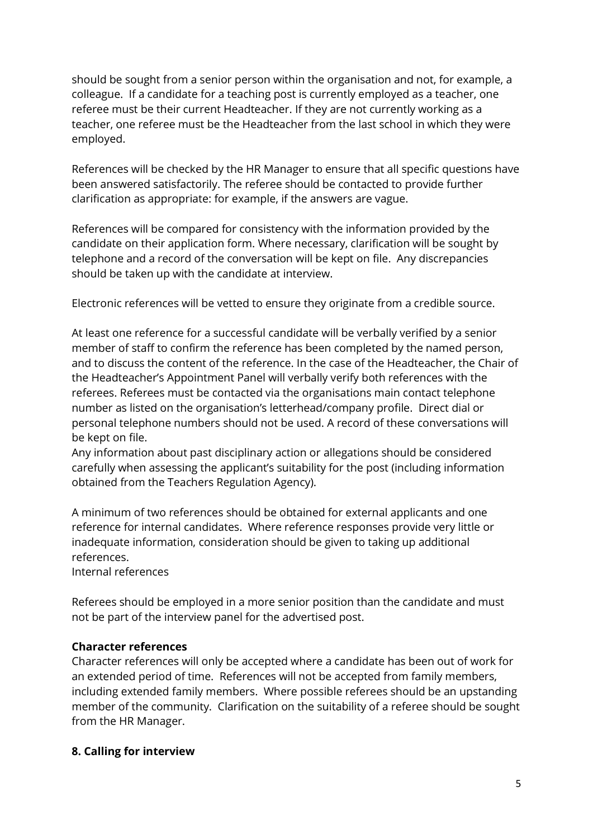should be sought from a senior person within the organisation and not, for example, a colleague. If a candidate for a teaching post is currently employed as a teacher, one referee must be their current Headteacher. If they are not currently working as a teacher, one referee must be the Headteacher from the last school in which they were employed.

References will be checked by the HR Manager to ensure that all specific questions have been answered satisfactorily. The referee should be contacted to provide further clarification as appropriate: for example, if the answers are vague.

References will be compared for consistency with the information provided by the candidate on their application form. Where necessary, clarification will be sought by telephone and a record of the conversation will be kept on file. Any discrepancies should be taken up with the candidate at interview.

Electronic references will be vetted to ensure they originate from a credible source.

At least one reference for a successful candidate will be verbally verified by a senior member of staff to confirm the reference has been completed by the named person, and to discuss the content of the reference. In the case of the Headteacher, the Chair of the Headteacher's Appointment Panel will verbally verify both references with the referees. Referees must be contacted via the organisations main contact telephone number as listed on the organisation's letterhead/company profile. Direct dial or personal telephone numbers should not be used. A record of these conversations will be kept on file.

Any information about past disciplinary action or allegations should be considered carefully when assessing the applicant's suitability for the post (including information obtained from the Teachers Regulation Agency).

A minimum of two references should be obtained for external applicants and one reference for internal candidates. Where reference responses provide very little or inadequate information, consideration should be given to taking up additional references.

Internal references

Referees should be employed in a more senior position than the candidate and must not be part of the interview panel for the advertised post.

# Character references

Character references will only be accepted where a candidate has been out of work for an extended period of time. References will not be accepted from family members, including extended family members. Where possible referees should be an upstanding member of the community. Clarification on the suitability of a referee should be sought from the HR Manager.

#### 8. Calling for interview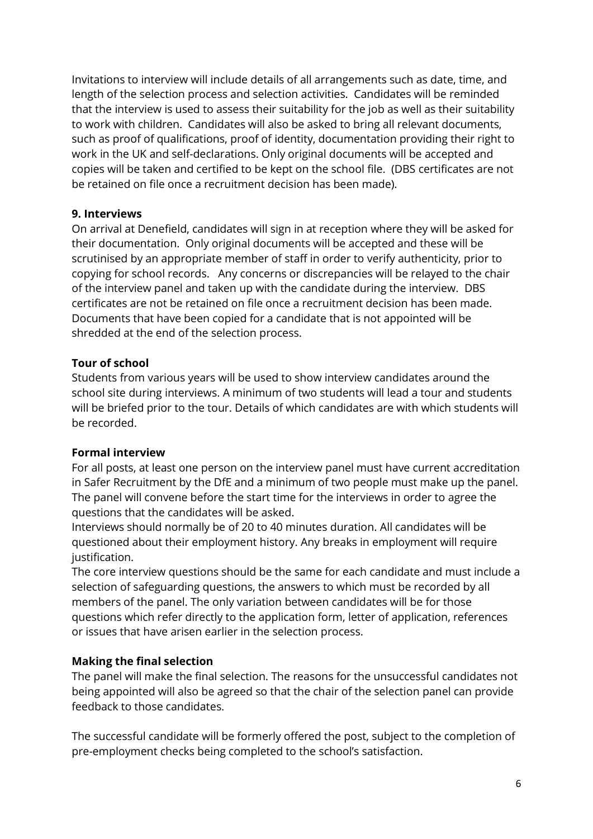Invitations to interview will include details of all arrangements such as date, time, and length of the selection process and selection activities. Candidates will be reminded that the interview is used to assess their suitability for the job as well as their suitability to work with children. Candidates will also be asked to bring all relevant documents, such as proof of qualifications, proof of identity, documentation providing their right to work in the UK and self-declarations. Only original documents will be accepted and copies will be taken and certified to be kept on the school file. (DBS certificates are not be retained on file once a recruitment decision has been made).

#### 9. Interviews

On arrival at Denefield, candidates will sign in at reception where they will be asked for their documentation. Only original documents will be accepted and these will be scrutinised by an appropriate member of staff in order to verify authenticity, prior to copying for school records. Any concerns or discrepancies will be relayed to the chair of the interview panel and taken up with the candidate during the interview. DBS certificates are not be retained on file once a recruitment decision has been made. Documents that have been copied for a candidate that is not appointed will be shredded at the end of the selection process.

# Tour of school

Students from various years will be used to show interview candidates around the school site during interviews. A minimum of two students will lead a tour and students will be briefed prior to the tour. Details of which candidates are with which students will be recorded.

# Formal interview

For all posts, at least one person on the interview panel must have current accreditation in Safer Recruitment by the DfE and a minimum of two people must make up the panel. The panel will convene before the start time for the interviews in order to agree the questions that the candidates will be asked.

Interviews should normally be of 20 to 40 minutes duration. All candidates will be questioned about their employment history. Any breaks in employment will require justification.

The core interview questions should be the same for each candidate and must include a selection of safeguarding questions, the answers to which must be recorded by all members of the panel. The only variation between candidates will be for those questions which refer directly to the application form, letter of application, references or issues that have arisen earlier in the selection process.

# Making the final selection

The panel will make the final selection. The reasons for the unsuccessful candidates not being appointed will also be agreed so that the chair of the selection panel can provide feedback to those candidates.

The successful candidate will be formerly offered the post, subject to the completion of pre-employment checks being completed to the school's satisfaction.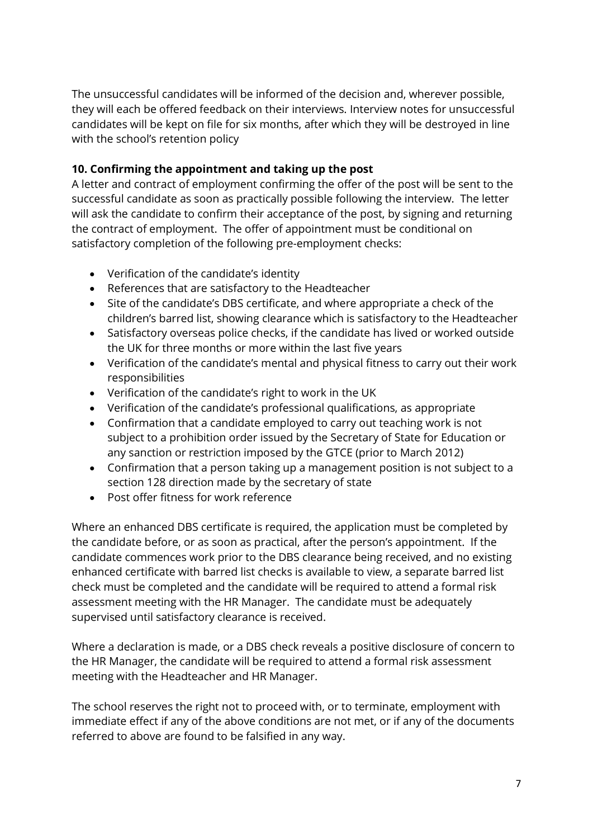The unsuccessful candidates will be informed of the decision and, wherever possible, they will each be offered feedback on their interviews. Interview notes for unsuccessful candidates will be kept on file for six months, after which they will be destroyed in line with the school's retention policy

# 10. Confirming the appointment and taking up the post

A letter and contract of employment confirming the offer of the post will be sent to the successful candidate as soon as practically possible following the interview. The letter will ask the candidate to confirm their acceptance of the post, by signing and returning the contract of employment. The offer of appointment must be conditional on satisfactory completion of the following pre-employment checks:

- Verification of the candidate's identity
- References that are satisfactory to the Headteacher
- Site of the candidate's DBS certificate, and where appropriate a check of the children's barred list, showing clearance which is satisfactory to the Headteacher
- Satisfactory overseas police checks, if the candidate has lived or worked outside the UK for three months or more within the last five years
- Verification of the candidate's mental and physical fitness to carry out their work responsibilities
- Verification of the candidate's right to work in the UK
- Verification of the candidate's professional qualifications, as appropriate
- Confirmation that a candidate employed to carry out teaching work is not subject to a prohibition order issued by the Secretary of State for Education or any sanction or restriction imposed by the GTCE (prior to March 2012)
- Confirmation that a person taking up a management position is not subject to a section 128 direction made by the secretary of state
- Post offer fitness for work reference

Where an enhanced DBS certificate is required, the application must be completed by the candidate before, or as soon as practical, after the person's appointment. If the candidate commences work prior to the DBS clearance being received, and no existing enhanced certificate with barred list checks is available to view, a separate barred list check must be completed and the candidate will be required to attend a formal risk assessment meeting with the HR Manager. The candidate must be adequately supervised until satisfactory clearance is received.

Where a declaration is made, or a DBS check reveals a positive disclosure of concern to the HR Manager, the candidate will be required to attend a formal risk assessment meeting with the Headteacher and HR Manager.

The school reserves the right not to proceed with, or to terminate, employment with immediate effect if any of the above conditions are not met, or if any of the documents referred to above are found to be falsified in any way.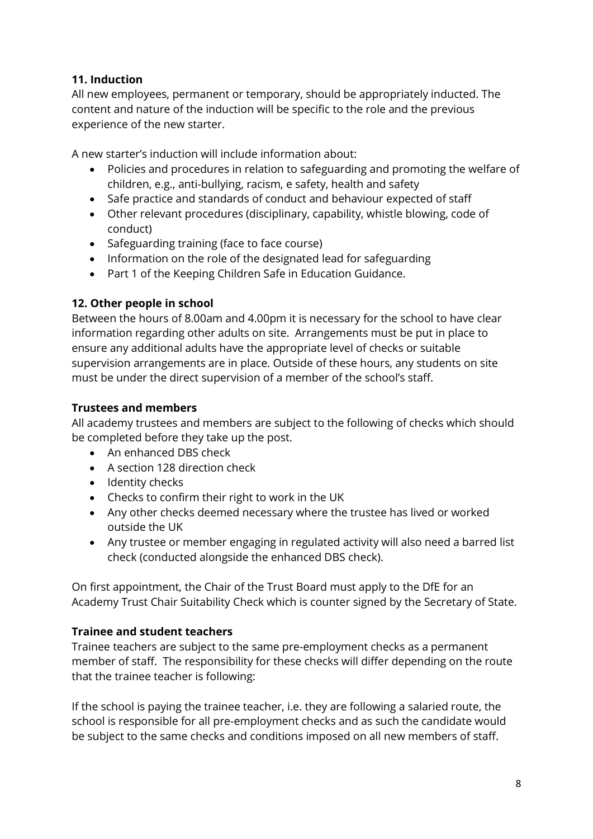# 11. Induction

All new employees, permanent or temporary, should be appropriately inducted. The content and nature of the induction will be specific to the role and the previous experience of the new starter.

A new starter's induction will include information about:

- Policies and procedures in relation to safeguarding and promoting the welfare of children, e.g., anti-bullying, racism, e safety, health and safety
- Safe practice and standards of conduct and behaviour expected of staff
- Other relevant procedures (disciplinary, capability, whistle blowing, code of conduct)
- Safeguarding training (face to face course)
- Information on the role of the designated lead for safeguarding
- Part 1 of the Keeping Children Safe in Education Guidance.

#### 12. Other people in school

Between the hours of 8.00am and 4.00pm it is necessary for the school to have clear information regarding other adults on site. Arrangements must be put in place to ensure any additional adults have the appropriate level of checks or suitable supervision arrangements are in place. Outside of these hours, any students on site must be under the direct supervision of a member of the school's staff.

#### Trustees and members

All academy trustees and members are subject to the following of checks which should be completed before they take up the post.

- An enhanced DBS check
- A section 128 direction check
- Identity checks
- Checks to confirm their right to work in the UK
- Any other checks deemed necessary where the trustee has lived or worked outside the UK
- Any trustee or member engaging in regulated activity will also need a barred list check (conducted alongside the enhanced DBS check).

On first appointment, the Chair of the Trust Board must apply to the DfE for an Academy Trust Chair Suitability Check which is counter signed by the Secretary of State.

# Trainee and student teachers

Trainee teachers are subject to the same pre-employment checks as a permanent member of staff. The responsibility for these checks will differ depending on the route that the trainee teacher is following:

If the school is paying the trainee teacher, i.e. they are following a salaried route, the school is responsible for all pre-employment checks and as such the candidate would be subject to the same checks and conditions imposed on all new members of staff.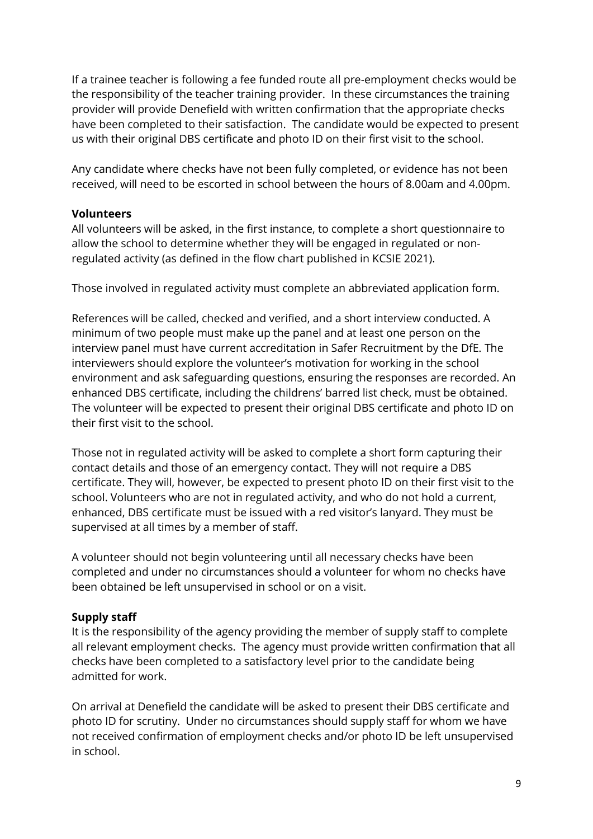If a trainee teacher is following a fee funded route all pre-employment checks would be the responsibility of the teacher training provider. In these circumstances the training provider will provide Denefield with written confirmation that the appropriate checks have been completed to their satisfaction. The candidate would be expected to present us with their original DBS certificate and photo ID on their first visit to the school.

Any candidate where checks have not been fully completed, or evidence has not been received, will need to be escorted in school between the hours of 8.00am and 4.00pm.

#### Volunteers

All volunteers will be asked, in the first instance, to complete a short questionnaire to allow the school to determine whether they will be engaged in regulated or nonregulated activity (as defined in the flow chart published in KCSIE 2021).

Those involved in regulated activity must complete an abbreviated application form.

References will be called, checked and verified, and a short interview conducted. A minimum of two people must make up the panel and at least one person on the interview panel must have current accreditation in Safer Recruitment by the DfE. The interviewers should explore the volunteer's motivation for working in the school environment and ask safeguarding questions, ensuring the responses are recorded. An enhanced DBS certificate, including the childrens' barred list check, must be obtained. The volunteer will be expected to present their original DBS certificate and photo ID on their first visit to the school.

Those not in regulated activity will be asked to complete a short form capturing their contact details and those of an emergency contact. They will not require a DBS certificate. They will, however, be expected to present photo ID on their first visit to the school. Volunteers who are not in regulated activity, and who do not hold a current, enhanced, DBS certificate must be issued with a red visitor's lanyard. They must be supervised at all times by a member of staff.

A volunteer should not begin volunteering until all necessary checks have been completed and under no circumstances should a volunteer for whom no checks have been obtained be left unsupervised in school or on a visit.

# Supply staff

It is the responsibility of the agency providing the member of supply staff to complete all relevant employment checks. The agency must provide written confirmation that all checks have been completed to a satisfactory level prior to the candidate being admitted for work.

On arrival at Denefield the candidate will be asked to present their DBS certificate and photo ID for scrutiny. Under no circumstances should supply staff for whom we have not received confirmation of employment checks and/or photo ID be left unsupervised in school.